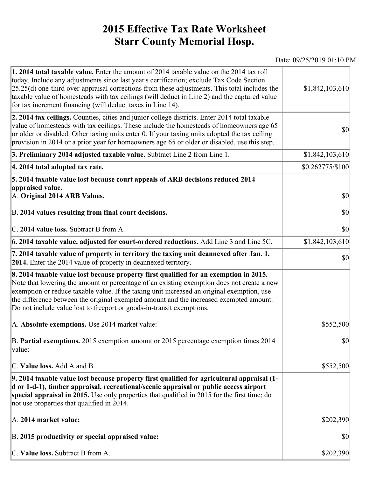## **2015 Effective Tax Rate Worksheet Starr County Memorial Hosp.**

## Date: 09/25/2019 01:10 PM

| 1. 2014 total taxable value. Enter the amount of 2014 taxable value on the 2014 tax roll<br>today. Include any adjustments since last year's certification; exclude Tax Code Section<br>$[25.25(d)$ one-third over-appraisal corrections from these adjustments. This total includes the<br>taxable value of homesteads with tax ceilings (will deduct in Line 2) and the captured value<br>for tax increment financing (will deduct taxes in Line 14). | \$1,842,103,610  |
|---------------------------------------------------------------------------------------------------------------------------------------------------------------------------------------------------------------------------------------------------------------------------------------------------------------------------------------------------------------------------------------------------------------------------------------------------------|------------------|
| 2. 2014 tax ceilings. Counties, cities and junior college districts. Enter 2014 total taxable<br>value of homesteads with tax ceilings. These include the homesteads of homeowners age 65<br>or older or disabled. Other taxing units enter 0. If your taxing units adopted the tax ceiling<br>provision in 2014 or a prior year for homeowners age 65 or older or disabled, use this step.                                                             | <b>\$0</b>       |
| 3. Preliminary 2014 adjusted taxable value. Subtract Line 2 from Line 1.                                                                                                                                                                                                                                                                                                                                                                                | \$1,842,103,610  |
| 4. 2014 total adopted tax rate.                                                                                                                                                                                                                                                                                                                                                                                                                         | \$0.262775/\$100 |
| 5. 2014 taxable value lost because court appeals of ARB decisions reduced 2014                                                                                                                                                                                                                                                                                                                                                                          |                  |
| appraised value.<br>A. Original 2014 ARB Values.                                                                                                                                                                                                                                                                                                                                                                                                        | $ 10\rangle$     |
| B. 2014 values resulting from final court decisions.                                                                                                                                                                                                                                                                                                                                                                                                    | 30               |
| C. 2014 value loss. Subtract B from A.                                                                                                                                                                                                                                                                                                                                                                                                                  | 30               |
| $\vert$ 6. 2014 taxable value, adjusted for court-ordered reductions. Add Line 3 and Line 5C.                                                                                                                                                                                                                                                                                                                                                           | \$1,842,103,610  |
| 7. 2014 taxable value of property in territory the taxing unit deannexed after Jan. 1,<br><b>2014.</b> Enter the 2014 value of property in deannexed territory.                                                                                                                                                                                                                                                                                         | <b>\$0</b>       |
| 8. 2014 taxable value lost because property first qualified for an exemption in 2015.<br>Note that lowering the amount or percentage of an existing exemption does not create a new<br>exemption or reduce taxable value. If the taxing unit increased an original exemption, use<br>the difference between the original exempted amount and the increased exempted amount.<br>Do not include value lost to freeport or goods-in-transit exemptions.    |                  |
| A. Absolute exemptions. Use 2014 market value:                                                                                                                                                                                                                                                                                                                                                                                                          | \$552,500        |
| B. Partial exemptions. 2015 exemption amount or 2015 percentage exemption times 2014<br>value:                                                                                                                                                                                                                                                                                                                                                          | $ 10\rangle$     |
| C. Value loss. Add A and B.                                                                                                                                                                                                                                                                                                                                                                                                                             | \$552,500        |
| 9. 2014 taxable value lost because property first qualified for agricultural appraisal (1-<br>d or 1-d-1), timber appraisal, recreational/scenic appraisal or public access airport<br>special appraisal in 2015. Use only properties that qualified in 2015 for the first time; do<br>not use properties that qualified in 2014.                                                                                                                       |                  |
| A. 2014 market value:                                                                                                                                                                                                                                                                                                                                                                                                                                   | \$202,390        |
| B. 2015 productivity or special appraised value:                                                                                                                                                                                                                                                                                                                                                                                                        | \$0              |
| C. Value loss. Subtract B from A.                                                                                                                                                                                                                                                                                                                                                                                                                       | \$202,390        |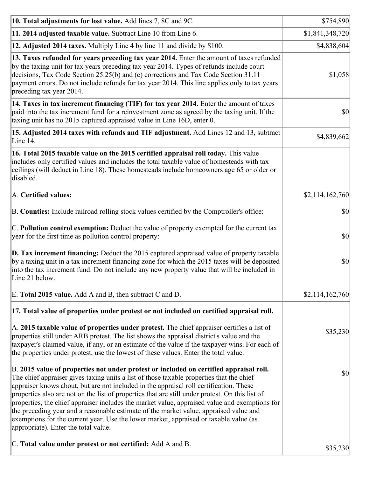| 10. Total adjustments for lost value. Add lines 7, 8C and 9C.                                                                                                                                                                                                                                                                                                                                                                                                                                                                                                                                                                                                                                              | \$754,890       |
|------------------------------------------------------------------------------------------------------------------------------------------------------------------------------------------------------------------------------------------------------------------------------------------------------------------------------------------------------------------------------------------------------------------------------------------------------------------------------------------------------------------------------------------------------------------------------------------------------------------------------------------------------------------------------------------------------------|-----------------|
| 11. 2014 adjusted taxable value. Subtract Line 10 from Line 6.                                                                                                                                                                                                                                                                                                                                                                                                                                                                                                                                                                                                                                             | \$1,841,348,720 |
| 12. Adjusted 2014 taxes. Multiply Line 4 by line 11 and divide by \$100.                                                                                                                                                                                                                                                                                                                                                                                                                                                                                                                                                                                                                                   | \$4,838,604     |
| 13. Taxes refunded for years preceding tax year 2014. Enter the amount of taxes refunded<br>by the taxing unit for tax years preceding tax year 2014. Types of refunds include court<br>decisions, Tax Code Section 25.25(b) and (c) corrections and Tax Code Section 31.11<br>payment errors. Do not include refunds for tax year 2014. This line applies only to tax years<br>preceding tax year 2014.                                                                                                                                                                                                                                                                                                   | \$1,058         |
| 14. Taxes in tax increment financing (TIF) for tax year 2014. Enter the amount of taxes<br>paid into the tax increment fund for a reinvestment zone as agreed by the taxing unit. If the<br>taxing unit has no 2015 captured appraised value in Line 16D, enter 0.                                                                                                                                                                                                                                                                                                                                                                                                                                         | \$0             |
| 15. Adjusted 2014 taxes with refunds and TIF adjustment. Add Lines 12 and 13, subtract<br>Line 14.                                                                                                                                                                                                                                                                                                                                                                                                                                                                                                                                                                                                         | \$4,839,662     |
| 16. Total 2015 taxable value on the 2015 certified appraisal roll today. This value<br>includes only certified values and includes the total taxable value of homesteads with tax<br>ceilings (will deduct in Line 18). These homesteads include homeowners age 65 or older or<br>disabled.                                                                                                                                                                                                                                                                                                                                                                                                                |                 |
| A. Certified values:                                                                                                                                                                                                                                                                                                                                                                                                                                                                                                                                                                                                                                                                                       | \$2,114,162,760 |
| B. Counties: Include railroad rolling stock values certified by the Comptroller's office:                                                                                                                                                                                                                                                                                                                                                                                                                                                                                                                                                                                                                  | \$0             |
| C. Pollution control exemption: Deduct the value of property exempted for the current tax<br>year for the first time as pollution control property:                                                                                                                                                                                                                                                                                                                                                                                                                                                                                                                                                        | \$0             |
| $\vert$ D. Tax increment financing: Deduct the 2015 captured appraised value of property taxable<br>by a taxing unit in a tax increment financing zone for which the 2015 taxes will be deposited<br>into the tax increment fund. Do not include any new property value that will be included in<br>Line 21 below.                                                                                                                                                                                                                                                                                                                                                                                         | \$0             |
| E. Total 2015 value. Add A and B, then subtract C and D.                                                                                                                                                                                                                                                                                                                                                                                                                                                                                                                                                                                                                                                   | \$2,114,162,760 |
| 17. Total value of properties under protest or not included on certified appraisal roll.                                                                                                                                                                                                                                                                                                                                                                                                                                                                                                                                                                                                                   |                 |
| A. 2015 taxable value of properties under protest. The chief appraiser certifies a list of<br>properties still under ARB protest. The list shows the appraisal district's value and the<br>taxpayer's claimed value, if any, or an estimate of the value if the taxpayer wins. For each of<br>the properties under protest, use the lowest of these values. Enter the total value.                                                                                                                                                                                                                                                                                                                         | \$35,230        |
| B. 2015 value of properties not under protest or included on certified appraisal roll.<br>The chief appraiser gives taxing units a list of those taxable properties that the chief<br>appraiser knows about, but are not included in the appraisal roll certification. These<br>properties also are not on the list of properties that are still under protest. On this list of<br>properties, the chief appraiser includes the market value, appraised value and exemptions for<br>the preceding year and a reasonable estimate of the market value, appraised value and<br>exemptions for the current year. Use the lower market, appraised or taxable value (as<br>appropriate). Enter the total value. | \$0             |
| C. Total value under protest or not certified: Add A and B.                                                                                                                                                                                                                                                                                                                                                                                                                                                                                                                                                                                                                                                | \$35,230        |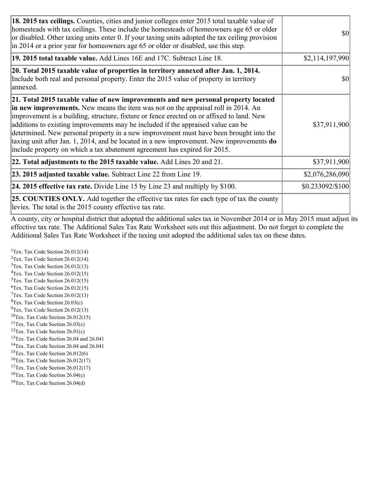| 18. 2015 tax ceilings. Counties, cities and junior colleges enter 2015 total taxable value of<br>homesteads with tax ceilings. These include the homesteads of homeowners age 65 or older<br>or disabled. Other taxing units enter 0. If your taxing units adopted the tax ceiling provision<br>in 2014 or a prior year for homeowners age 65 or older or disabled, use this step.                                                                                                                                                                                                                                                 | <b>\$0</b>       |
|------------------------------------------------------------------------------------------------------------------------------------------------------------------------------------------------------------------------------------------------------------------------------------------------------------------------------------------------------------------------------------------------------------------------------------------------------------------------------------------------------------------------------------------------------------------------------------------------------------------------------------|------------------|
| 19. 2015 total taxable value. Add Lines 16E and 17C. Subtract Line 18.                                                                                                                                                                                                                                                                                                                                                                                                                                                                                                                                                             | \$2,114,197,990  |
| 20. Total 2015 taxable value of properties in territory annexed after Jan. 1, 2014.<br>Include both real and personal property. Enter the 2015 value of property in territory<br>annexed.                                                                                                                                                                                                                                                                                                                                                                                                                                          | <b>\$0</b>       |
| 21. Total 2015 taxable value of new improvements and new personal property located<br>in new improvements. New means the item was not on the appraisal roll in 2014. An<br>improvement is a building, structure, fixture or fence erected on or affixed to land. New<br>additions to existing improvements may be included if the appraised value can be<br>determined. New personal property in a new improvement must have been brought into the<br>taxing unit after Jan. 1, 2014, and be located in a new improvement. New improvements <b>do</b><br>include property on which a tax abatement agreement has expired for 2015. | \$37,911,900     |
| $ 22.$ Total adjustments to the 2015 taxable value. Add Lines 20 and 21.                                                                                                                                                                                                                                                                                                                                                                                                                                                                                                                                                           | \$37,911,900     |
| <b>23. 2015 adjusted taxable value.</b> Subtract Line 22 from Line 19.                                                                                                                                                                                                                                                                                                                                                                                                                                                                                                                                                             | \$2,076,286,090  |
| 24. 2015 effective tax rate. Divide Line 15 by Line 23 and multiply by $$100$ .                                                                                                                                                                                                                                                                                                                                                                                                                                                                                                                                                    | \$0.233092/\$100 |
| <b>25. COUNTIES ONLY.</b> Add together the effective tax rates for each type of tax the county<br>levies. The total is the 2015 county effective tax rate.                                                                                                                                                                                                                                                                                                                                                                                                                                                                         |                  |

A county, city or hospital district that adopted the additional sales tax in November 2014 or in May 2015 must adjust its effective tax rate. The Additional Sales Tax Rate Worksheet sets out this adjustment. Do not forget to complete the Additional Sales Tax Rate Worksheet if the taxing unit adopted the additional sales tax on these dates.

<sup>1</sup>Tex. Tax Code Section  $26.012(14)$ <sup>2</sup>Tex. Tax Code Section  $26.012(14)$  $3$ Tex. Tax Code Section 26.012(13)  ${}^{4}$ Tex. Tax Code Section 26.012(15) <sup>5</sup>Tex. Tax Code Section 26.012(15)  ${}^{6}$ Tex. Tax Code Section 26.012(15)  $7$ Tex. Tax Code Section 26.012(13)  ${}^{8}$ Tex. Tax Code Section 26.03(c)  $^{9}$ Tex. Tax Code Section 26.012(13)  $10$ Tex. Tax Code Section 26.012(15) <sup>11</sup>Tex. Tax Code Section  $26.03(c)$ <sup>12</sup>Tex. Tax Code Section  $26.01(c)$ <sup>13</sup>Tex. Tax Code Section 26.04 and 26.041 <sup>14</sup>Tex. Tax Code Section 26.04 and 26.041 <sup>15</sup>Tex. Tax Code Section  $26.012(6)$  $16$ Tex. Tax Code Section 26.012(17) <sup>17</sup>Tex. Tax Code Section 26.012(17) <sup>18</sup>Tex. Tax Code Section  $26.04(c)$  $19$ Tex. Tax Code Section 26.04(d)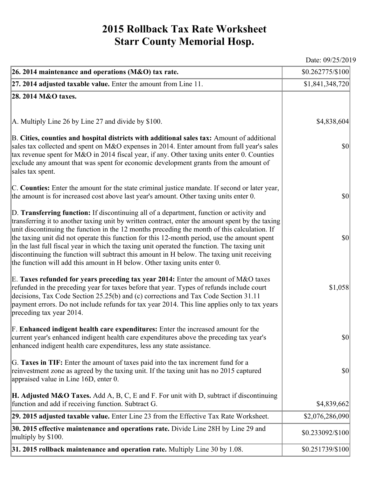## **2015 Rollback Tax Rate Worksheet Starr County Memorial Hosp.**

Date: 09/25/2019

| 26. 2014 maintenance and operations (M&O) tax rate.                                                                                                                                                                                                                                                                                                                                                                                                                                                                                                                                                                                                                     | \$0.262775/\$100                    |
|-------------------------------------------------------------------------------------------------------------------------------------------------------------------------------------------------------------------------------------------------------------------------------------------------------------------------------------------------------------------------------------------------------------------------------------------------------------------------------------------------------------------------------------------------------------------------------------------------------------------------------------------------------------------------|-------------------------------------|
| $ 27.2014$ adjusted taxable value. Enter the amount from Line 11.                                                                                                                                                                                                                                                                                                                                                                                                                                                                                                                                                                                                       | \$1,841,348,720                     |
| 28. 2014 M&O taxes.                                                                                                                                                                                                                                                                                                                                                                                                                                                                                                                                                                                                                                                     |                                     |
|                                                                                                                                                                                                                                                                                                                                                                                                                                                                                                                                                                                                                                                                         |                                     |
| $ A$ . Multiply Line 26 by Line 27 and divide by \$100.                                                                                                                                                                                                                                                                                                                                                                                                                                                                                                                                                                                                                 | \$4,838,604                         |
| B. Cities, counties and hospital districts with additional sales tax: Amount of additional<br>sales tax collected and spent on M&O expenses in 2014. Enter amount from full year's sales<br>tax revenue spent for M&O in 2014 fiscal year, if any. Other taxing units enter 0. Counties<br>exclude any amount that was spent for economic development grants from the amount of<br>sales tax spent.                                                                                                                                                                                                                                                                     | $\vert \mathbf{S} \mathbf{O} \vert$ |
| C. Counties: Enter the amount for the state criminal justice mandate. If second or later year,<br>the amount is for increased cost above last year's amount. Other taxing units enter 0.                                                                                                                                                                                                                                                                                                                                                                                                                                                                                | $ 10\rangle$                        |
| D. Transferring function: If discontinuing all of a department, function or activity and<br>transferring it to another taxing unit by written contract, enter the amount spent by the taxing<br>unit discontinuing the function in the 12 months preceding the month of this calculation. If<br>the taxing unit did not operate this function for this 12-month period, use the amount spent<br>in the last full fiscal year in which the taxing unit operated the function. The taxing unit<br>discontinuing the function will subtract this amount in H below. The taxing unit receiving<br>the function will add this amount in H below. Other taxing units enter 0. | \$0                                 |
| E. Taxes refunded for years preceding tax year 2014: Enter the amount of M&O taxes<br>refunded in the preceding year for taxes before that year. Types of refunds include court<br>decisions, Tax Code Section 25.25(b) and (c) corrections and Tax Code Section 31.11<br>payment errors. Do not include refunds for tax year 2014. This line applies only to tax years<br>preceding tax year 2014.                                                                                                                                                                                                                                                                     | \$1,058                             |
| F. Enhanced indigent health care expenditures: Enter the increased amount for the<br>current year's enhanced indigent health care expenditures above the preceding tax year's<br>enhanced indigent health care expenditures, less any state assistance.                                                                                                                                                                                                                                                                                                                                                                                                                 | $\vert \mathbf{S} \mathbf{O} \vert$ |
| G. Taxes in TIF: Enter the amount of taxes paid into the tax increment fund for a<br>reinvestment zone as agreed by the taxing unit. If the taxing unit has no 2015 captured<br>appraised value in Line 16D, enter 0.                                                                                                                                                                                                                                                                                                                                                                                                                                                   | \$0                                 |
| <b>H. Adjusted M&amp;O Taxes.</b> Add A, B, C, E and F. For unit with D, subtract if discontinuing<br>function and add if receiving function. Subtract G.                                                                                                                                                                                                                                                                                                                                                                                                                                                                                                               | \$4,839,662                         |
| 29. 2015 adjusted taxable value. Enter Line 23 from the Effective Tax Rate Worksheet.                                                                                                                                                                                                                                                                                                                                                                                                                                                                                                                                                                                   | \$2,076,286,090                     |
| 30. 2015 effective maintenance and operations rate. Divide Line 28H by Line 29 and<br>multiply by \$100.                                                                                                                                                                                                                                                                                                                                                                                                                                                                                                                                                                | \$0.233092/\$100                    |
| 31. 2015 rollback maintenance and operation rate. Multiply Line 30 by 1.08.                                                                                                                                                                                                                                                                                                                                                                                                                                                                                                                                                                                             | \$0.251739/\$100                    |